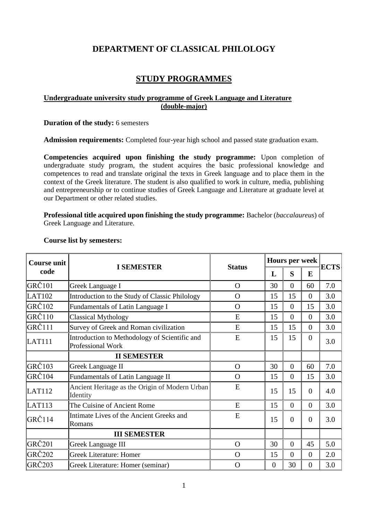# **DEPARTMENT OF CLASSICAL PHILOLOGY**

# **STUDY PROGRAMMES**

## **Undergraduate university study programme of Greek Language and Literature (double-major)**

**Duration of the study:** 6 semesters

**Admission requirements:** Completed four-year high school and passed state graduation exam.

**Competencies acquired upon finishing the study programme:** Upon completion of undergraduate study program, the student acquires the basic professional knowledge and competences to read and translate original the texts in Greek language and to place them in the context of the Greek literature. The student is also qualified to work in culture, media, publishing and entrepreneurship or to continue studies of Greek Language and Literature at graduate level at our Department or other related studies.

**Professional title acquired upon finishing the study programme:** Bachelor (*baccalaureus*) of Greek Language and Literature.

| <b>Course unit</b><br>code |                                                                           |               | Hours per week<br>S<br>E<br>L |                | <b>ECTS</b>    |     |
|----------------------------|---------------------------------------------------------------------------|---------------|-------------------------------|----------------|----------------|-----|
|                            | <b>I SEMESTER</b>                                                         | <b>Status</b> |                               |                |                |     |
| GRČ <sub>101</sub>         | Greek Language I                                                          | $\Omega$      | 30                            | $\theta$       | 60             | 7.0 |
| LAT102                     | Introduction to the Study of Classic Philology                            | $\Omega$      | 15                            | 15             | $\theta$       | 3.0 |
| $GR\check{C}102$           | Fundamentals of Latin Language I                                          | $\Omega$      | 15                            | $\overline{0}$ | 15             | 3.0 |
| $GR\check{C}110$           | <b>Classical Mythology</b>                                                | E             | 15                            | $\overline{0}$ | $\overline{0}$ | 3.0 |
| GRČ111                     | Survey of Greek and Roman civilization                                    | E             | 15                            | 15             | $\theta$       | 3.0 |
| <b>LAT111</b>              | Introduction to Methodology of Scientific and<br><b>Professional Work</b> | E             | 15                            | 15             | $\theta$       | 3.0 |
|                            | <b>II SEMESTER</b>                                                        |               |                               |                |                |     |
| GRČ <sub>103</sub>         | <b>Greek Language II</b>                                                  | $\Omega$      | 30                            | $\theta$       | 60             | 7.0 |
| GRČ104                     | Fundamentals of Latin Language II                                         | $\Omega$      | 15                            | $\Omega$       | 15             | 3.0 |
| LAT112                     | Ancient Heritage as the Origin of Modern Urban<br>Identity                | E             | 15                            | 15             | $\Omega$       | 4.0 |
| LAT113                     | The Cuisine of Ancient Rome                                               | E             | 15                            | $\overline{0}$ | $\overline{0}$ | 3.0 |
| GRČ114                     | Intimate Lives of the Ancient Greeks and<br>Romans                        | E             | 15                            | $\Omega$       | $\Omega$       | 3.0 |
|                            | <b>III SEMESTER</b>                                                       |               |                               |                |                |     |
| GRČ <sub>201</sub>         | <b>Greek Language III</b>                                                 | $\Omega$      | 30                            | $\overline{0}$ | 45             | 5.0 |
| GRČ202                     | <b>Greek Literature: Homer</b>                                            | $\Omega$      | 15                            | $\overline{0}$ | $\overline{0}$ | 2.0 |
| GRČ203                     | Greek Literature: Homer (seminar)                                         | $\Omega$      | $\overline{0}$                | 30             | $\overline{0}$ | 3.0 |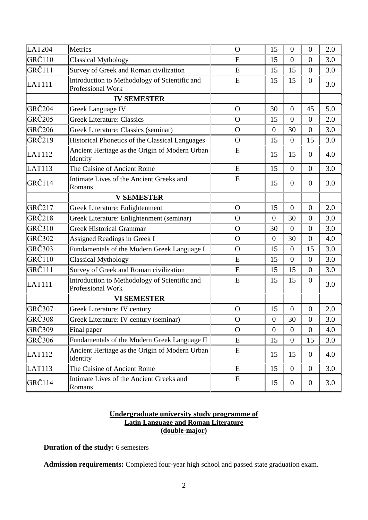| LAT <sub>204</sub> | Metrics                                                            | $\Omega$     | 15             | $\mathbf{0}$   | $\overline{0}$   | 2.0 |
|--------------------|--------------------------------------------------------------------|--------------|----------------|----------------|------------------|-----|
| $GR\check{C}110$   | <b>Classical Mythology</b>                                         | E            | 15             | $\overline{0}$ | $\overline{0}$   | 3.0 |
| $GR\check{C}111$   | Survey of Greek and Roman civilization                             | E            | 15             | 15             | $\overline{0}$   | 3.0 |
| <b>LAT111</b>      | Introduction to Methodology of Scientific and<br>Professional Work | E            | 15             | 15             | $\theta$         | 3.0 |
|                    | <b>IV SEMESTER</b>                                                 |              |                |                |                  |     |
| GRČ <sub>204</sub> | <b>Greek Language IV</b>                                           | $\Omega$     | 30             | $\mathbf{0}$   | 45               | 5.0 |
| GRČ <sub>205</sub> | <b>Greek Literature: Classics</b>                                  | $\Omega$     | 15             | $\overline{0}$ | $\overline{0}$   | 2.0 |
| GRČ <sub>206</sub> | Greek Literature: Classics (seminar)                               | $\Omega$     | $\overline{0}$ | 30             | $\overline{0}$   | 3.0 |
| GRČ219             | <b>Historical Phonetics of the Classical Languages</b>             | $\Omega$     | 15             | $\overline{0}$ | 15               | 3.0 |
| <b>LAT112</b>      | Ancient Heritage as the Origin of Modern Urban<br>Identity         | E            | 15             | 15             | $\theta$         | 4.0 |
| LAT113             | The Cuisine of Ancient Rome                                        | E            | 15             | $\overline{0}$ | $\overline{0}$   | 3.0 |
| GRČ114             | Intimate Lives of the Ancient Greeks and<br>Romans                 | E            | 15             | $\overline{0}$ | $\overline{0}$   | 3.0 |
|                    | <b>V SEMESTER</b>                                                  |              |                |                |                  |     |
| GRČ217             | Greek Literature: Enlightenment                                    | $\Omega$     | 15             | $\overline{0}$ | $\overline{0}$   | 2.0 |
| GRČ218             | Greek Literature: Enlightenment (seminar)                          | $\Omega$     | $\overline{0}$ | 30             | $\overline{0}$   | 3.0 |
| GRČ310             | <b>Greek Historical Grammar</b>                                    | $\Omega$     | 30             | $\overline{0}$ | $\overline{0}$   | 3.0 |
| GRČ302             | Assigned Readings in Greek I                                       | $\Omega$     | $\overline{0}$ | 30             | $\overline{0}$   | 4.0 |
| GRČ303             | Fundamentals of the Modern Greek Language I                        | $\Omega$     | 15             | $\mathbf{0}$   | 15               | 3.0 |
| GRČ110             | <b>Classical Mythology</b>                                         | E            | 15             | $\overline{0}$ | $\overline{0}$   | 3.0 |
| GRČ111             | Survey of Greek and Roman civilization                             | E            | 15             | 15             | $\overline{0}$   | 3.0 |
| <b>LAT111</b>      | Introduction to Methodology of Scientific and<br>Professional Work | E            | 15             | 15             | $\overline{0}$   | 3.0 |
|                    | <b>VI SEMESTER</b>                                                 |              |                |                |                  |     |
| GRČ307             | Greek Literature: IV century                                       | $\mathbf{O}$ | 15             | $\overline{0}$ | $\overline{0}$   | 2.0 |
| GRČ308             | Greek Literature: IV century (seminar)                             | $\mathbf O$  | $\overline{0}$ | 30             | $\boldsymbol{0}$ | 3.0 |
| GRČ309             | Final paper                                                        | $\Omega$     | $\overline{0}$ | $\overline{0}$ | $\overline{0}$   | 4.0 |
| GRČ306             | Fundamentals of the Modern Greek Language II                       | E            | 15             | $\overline{0}$ | 15               | 3.0 |
| <b>LAT112</b>      | Ancient Heritage as the Origin of Modern Urban<br>Identity         | E            | 15             | 15             | $\overline{0}$   | 4.0 |
| LAT113             | The Cuisine of Ancient Rome                                        | ${\bf E}$    | 15             | $\overline{0}$ | $\overline{0}$   | 3.0 |
| GRČ <sub>114</sub> | Intimate Lives of the Ancient Greeks and<br>Romans                 | E            | 15             | $\overline{0}$ | $\mathbf{0}$     | 3.0 |

## **Undergraduate university study programme of Latin Language and Roman Literature (double-major)**

**Duration of the study:** 6 semesters

**Admission requirements:** Completed four-year high school and passed state graduation exam.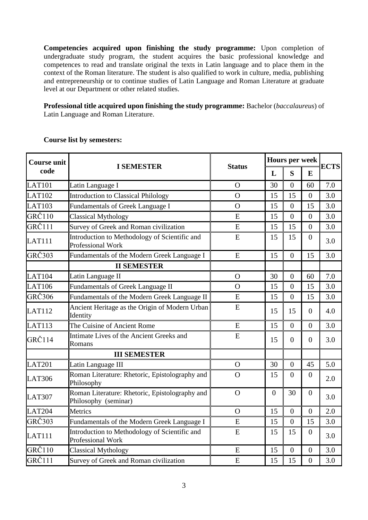**Competencies acquired upon finishing the study programme:** Upon completion of undergraduate study program, the student acquires the basic professional knowledge and competences to read and translate original the texts in Latin language and to place them in the context of the Roman literature. The student is also qualified to work in culture, media, publishing and entrepreneurship or to continue studies of Latin Language and Roman Literature at graduate level at our Department or other related studies.

**Professional title acquired upon finishing the study programme:** Bachelor (*baccalaureus*) of Latin Language and Roman Literature.

| <b>Course unit</b> |                                                                        |                |                | <b>Hours per week</b> |                  |             |
|--------------------|------------------------------------------------------------------------|----------------|----------------|-----------------------|------------------|-------------|
| code               | <b>I SEMESTER</b>                                                      | <b>Status</b>  | L              | S                     | E                | <b>ECTS</b> |
| <b>LAT101</b>      | Latin Language I                                                       | $\Omega$       | 30             | $\overline{0}$        | 60               | 7.0         |
| LAT <sub>102</sub> | Introduction to Classical Philology                                    | $\Omega$       | 15             | 15                    | $\theta$         | 3.0         |
| <b>LAT103</b>      | Fundamentals of Greek Language I                                       | $\mathbf O$    | 15             | $\overline{0}$        | 15               | 3.0         |
| GRČ110             | <b>Classical Mythology</b>                                             | E              | 15             | $\overline{0}$        | $\overline{0}$   | 3.0         |
| GRČ111             | Survey of Greek and Roman civilization                                 | E              | 15             | 15                    | $\overline{0}$   | 3.0         |
| <b>LAT111</b>      | Introduction to Methodology of Scientific and<br>Professional Work     | E              | 15             | 15                    | $\overline{0}$   | 3.0         |
| GRČ303             | Fundamentals of the Modern Greek Language I                            | E              | 15             | $\overline{0}$        | 15               | 3.0         |
|                    | <b>II SEMESTER</b>                                                     |                |                |                       |                  |             |
| <b>LAT104</b>      | Latin Language II                                                      | $\overline{O}$ | 30             | $\overline{0}$        | 60               | 7.0         |
| <b>LAT106</b>      | <b>Fundamentals of Greek Language II</b>                               | $\overline{O}$ | 15             | $\boldsymbol{0}$      | 15               | 3.0         |
| GRČ306             | Fundamentals of the Modern Greek Language II                           | E              | 15             | $\overline{0}$        | 15               | 3.0         |
| <b>LAT112</b>      | Ancient Heritage as the Origin of Modern Urban<br>Identity             | E              | 15             | 15                    | $\Omega$         | 4.0         |
| LAT113             | The Cuisine of Ancient Rome                                            | E              | 15             | $\overline{0}$        | $\overline{0}$   | 3.0         |
| <b>GRČ114</b>      | Intimate Lives of the Ancient Greeks and<br>Romans                     | E              | 15             | $\overline{0}$        | $\overline{0}$   | 3.0         |
|                    | <b>III SEMESTER</b>                                                    |                |                |                       |                  |             |
| <b>LAT201</b>      | Latin Language III                                                     | $\mathbf{O}$   | 30             | $\overline{0}$        | 45               | 5.0         |
| <b>LAT306</b>      | Roman Literature: Rhetoric, Epistolography and<br>Philosophy           | $\overline{O}$ | 15             | $\overline{0}$        | $\overline{0}$   | 2.0         |
| <b>LAT307</b>      | Roman Literature: Rhetoric, Epistolography and<br>Philosophy (seminar) | $\Omega$       | $\overline{0}$ | 30                    | $\theta$         | 3.0         |
| LAT <sub>204</sub> | Metrics                                                                | $\Omega$       | 15             | $\theta$              | $\boldsymbol{0}$ | 2.0         |
| <b>GRČ303</b>      | Fundamentals of the Modern Greek Language I                            | E              | 15             | $\overline{0}$        | 15               | 3.0         |
| <b>LAT111</b>      | Introduction to Methodology of Scientific and<br>Professional Work     | E              | 15             | 15                    | $\overline{0}$   | 3.0         |
| GRČ110             | <b>Classical Mythology</b>                                             | E              | 15             | $\overline{0}$        | $\boldsymbol{0}$ | 3.0         |
| GRČ111             | Survey of Greek and Roman civilization                                 | E              | 15             | 15                    | $\overline{0}$   | 3.0         |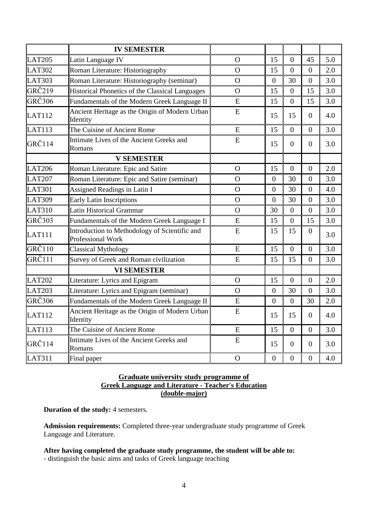|                    | <b>IV SEMESTER</b>                                                        |                |                  |                |                  |     |
|--------------------|---------------------------------------------------------------------------|----------------|------------------|----------------|------------------|-----|
| <b>LAT205</b>      | Latin Language IV                                                         | $\overline{O}$ | 15               | $\Omega$       | 45               | 5.0 |
| <b>LAT302</b>      | Roman Literature: Historiography                                          | $\Omega$       | 15               | $\overline{0}$ | $\overline{0}$   | 2.0 |
| <b>LAT303</b>      | Roman Literature: Historiography (seminar)                                | $\mathbf{O}$   | $\Omega$         | 30             | $\Omega$         | 3.0 |
| GRČ219             | Historical Phonetics of the Classical Languages                           | $\mathbf{O}$   | 15               | $\overline{0}$ | 15               | 3.0 |
| <b>GRČ306</b>      | Fundamentals of the Modern Greek Language II                              | E              | 15               | $\overline{0}$ | 15               | 3.0 |
| <b>LAT112</b>      | Ancient Heritage as the Origin of Modern Urban<br>Identity                | E              | 15               | 15             | $\overline{0}$   | 4.0 |
| LAT113             | The Cuisine of Ancient Rome                                               | E              | 15               | $\overline{0}$ | $\overline{0}$   | 3.0 |
| <b>GRČ114</b>      | Intimate Lives of the Ancient Greeks and<br>Romans                        | E              | 15               | $\overline{0}$ | $\overline{0}$   | 3.0 |
|                    | <b>V SEMESTER</b>                                                         |                |                  |                |                  |     |
| <b>LAT206</b>      | Roman Literature: Epic and Satire                                         | $\Omega$       | 15               | $\overline{0}$ | $\overline{0}$   | 2.0 |
| <b>LAT207</b>      | Roman Literature: Epic and Satire (seminar)                               | $\Omega$       | $\theta$         | 30             | $\overline{0}$   | 3.0 |
| <b>LAT301</b>      | Assigned Readings in Latin I                                              | $\overline{O}$ | $\overline{0}$   | 30             | $\overline{0}$   | 4.0 |
| <b>LAT309</b>      | Early Latin Inscriptions                                                  | $\overline{O}$ | $\theta$         | 30             | $\overline{0}$   | 3.0 |
| <b>LAT310</b>      | <b>Latin Historical Grammar</b>                                           | $\overline{O}$ | 30               | $\overline{0}$ | $\overline{0}$   | 3.0 |
| $GR\check{C}303$   | Fundamentals of the Modern Greek Language I                               | E              | 15               | $\Omega$       | 15               | 3.0 |
| <b>LAT111</b>      | Introduction to Methodology of Scientific and<br><b>Professional Work</b> | E              | 15               | 15             | $\overline{0}$   | 3.0 |
| <b>GRČ110</b>      | <b>Classical Mythology</b>                                                | E              | 15               | $\overline{0}$ | $\boldsymbol{0}$ | 3.0 |
| <b>GRČ111</b>      | Survey of Greek and Roman civilization                                    | E              | 15               | 15             | $\overline{0}$   | 3.0 |
|                    | <b>VI SEMESTER</b>                                                        |                |                  |                |                  |     |
| <b>LAT202</b>      | Literature: Lyrics and Epigram                                            | $\Omega$       | 15               | $\overline{0}$ | $\overline{0}$   | 2.0 |
| <b>LAT203</b>      | Literature: Lyrics and Epigram (seminar)                                  | $\mathbf{O}$   | $\overline{0}$   | 30             | $\overline{0}$   | 3.0 |
| GRČ306             | Fundamentals of the Modern Greek Language II                              | E              | $\overline{0}$   | $\overline{0}$ | 30               | 2.0 |
| LAT112             | Ancient Heritage as the Origin of Modern Urban<br>Identity                | E              | 15               | 15             | $\Omega$         | 4.0 |
| LAT113             | The Cuisine of Ancient Rome                                               | E              | 15               | $\overline{0}$ | $\overline{0}$   | 3.0 |
| GRČ <sub>114</sub> | Intimate Lives of the Ancient Greeks and<br>Romans                        | E              | 15               | $\overline{0}$ | $\overline{0}$   | 3.0 |
| LAT311             | Final paper                                                               | $\mathbf O$    | $\boldsymbol{0}$ | $\overline{0}$ | $\overline{0}$   | 4.0 |

## **Graduate university study programme of Greek Language and Literature - Teacher's Education (double-major)**

**Duration of the study:** 4 semesters.

**Admission requirements:** Completed three-year undergraduate study programme of Greek Language and Literature.

## **After having completed the graduate study programme, the student will be able to:**

- distinguish the basic aims and tasks of Greek language teaching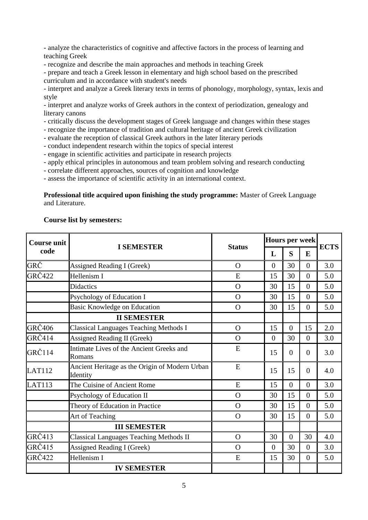- analyze the characteristics of cognitive and affective factors in the process of learning and teaching Greek

- recognize and describe the main approaches and methods in teaching Greek

- prepare and teach a Greek lesson in elementary and high school based on the prescribed curriculum and in accordance with student's needs

- interpret and analyze a Greek literary texts in terms of phonology, morphology, syntax, lexis and style

- interpret and analyze works of Greek authors in the context of periodization, genealogy and literary canons

- critically discuss the development stages of Greek language and changes within these stages
- recognize the importance of tradition and cultural heritage of ancient Greek civilization
- evaluate the reception of classical Greek authors in the later literary periods
- conduct independent research within the topics of special interest
- engage in scientific activities and participate in research projects
- apply ethical principles in autonomous and team problem solving and research conducting
- correlate different approaches, sources of cognition and knowledge
- assess the importance of scientific activity in an international context.

#### **Professional title acquired upon finishing the study programme:** Master of Greek Language and Literature.

| <b>Course unit</b> |                                                            | <b>Status</b>  |                | Hours per week |                |     | <b>ECTS</b> |
|--------------------|------------------------------------------------------------|----------------|----------------|----------------|----------------|-----|-------------|
| code               | <b>I SEMESTER</b>                                          | L              | S              | E              |                |     |             |
| GRČ                | <b>Assigned Reading I (Greek)</b>                          | $\Omega$       | $\overline{0}$ | 30             | $\overline{0}$ | 3.0 |             |
| <b>GRČ422</b>      | Hellenism I                                                | E              | 15             | 30             | $\mathbf{0}$   | 5.0 |             |
|                    | <b>Didactics</b>                                           | $\Omega$       | 30             | 15             | $\overline{0}$ | 5.0 |             |
|                    | Psychology of Education I                                  | $\Omega$       | 30             | 15             | $\overline{0}$ | 5.0 |             |
|                    | Basic Knowledge on Education                               | $\Omega$       | 30             | 15             | $\overline{0}$ | 5.0 |             |
|                    | <b>II SEMESTER</b>                                         |                |                |                |                |     |             |
| <b>GRČ406</b>      | <b>Classical Languages Teaching Methods I</b>              | $\Omega$       | 15             | $\overline{0}$ | 15             | 2.0 |             |
| GRČ414             | <b>Assigned Reading II (Greek)</b>                         | $\Omega$       | $\overline{0}$ | 30             | $\overline{0}$ | 3.0 |             |
| GRČ114             | Intimate Lives of the Ancient Greeks and<br>Romans         | E              | 15             | $\overline{0}$ | $\overline{0}$ | 3.0 |             |
| LAT112             | Ancient Heritage as the Origin of Modern Urban<br>Identity | E              | 15             | 15             | $\overline{0}$ | 4.0 |             |
| <b>LAT113</b>      | The Cuisine of Ancient Rome                                | E              | 15             | $\overline{0}$ | $\overline{0}$ | 3.0 |             |
|                    | Psychology of Education II                                 | $\overline{O}$ | 30             | 15             | $\overline{0}$ | 5.0 |             |
|                    | Theory of Education in Practice                            | $\mathbf O$    | 30             | 15             | $\overline{0}$ | 5.0 |             |
|                    | Art of Teaching                                            | $\Omega$       | 30             | 15             | $\overline{0}$ | 5.0 |             |
|                    | <b>III SEMESTER</b>                                        |                |                |                |                |     |             |
| GRČ413             | <b>Classical Languages Teaching Methods II</b>             | $\Omega$       | 30             | $\overline{0}$ | 30             | 4.0 |             |
| GRČ415             | <b>Assigned Reading I (Greek)</b>                          | $\Omega$       | $\overline{0}$ | 30             | $\overline{0}$ | 3.0 |             |
| <b>GRČ422</b>      | Hellenism I                                                | E              | 15             | 30             | $\overline{0}$ | 5.0 |             |
|                    | <b>IV SEMESTER</b>                                         |                |                |                |                |     |             |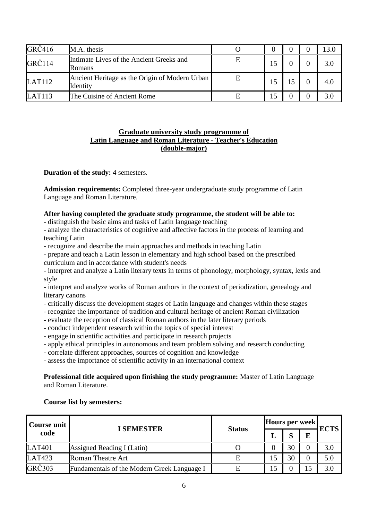| GRČ416                                   | M.A. thesis                                                |   |  | 13.0 |
|------------------------------------------|------------------------------------------------------------|---|--|------|
| GRČ114                                   | Intimate Lives of the Ancient Greeks and<br>Romans         | Е |  | 3.0  |
| LAT112                                   | Ancient Heritage as the Origin of Modern Urban<br>Identity | E |  | 4.0  |
| $\mathbf{L} \mathbf{A}$ T <sub>113</sub> | The Cuisine of Ancient Rome                                |   |  | 3.0  |

### **Graduate university study programme of Latin Language and Roman Literature - Teacher's Education (double-major)**

**Duration of the study: 4 semesters.** 

**Admission requirements:** Completed three-year undergraduate study programme of Latin Language and Roman Literature.

## **After having completed the graduate study programme, the student will be able to:**

- distinguish the basic aims and tasks of Latin language teaching

- analyze the characteristics of cognitive and affective factors in the process of learning and teaching Latin

- recognize and describe the main approaches and methods in teaching Latin
- prepare and teach a Latin lesson in elementary and high school based on the prescribed curriculum and in accordance with student's needs

- interpret and analyze a Latin literary texts in terms of phonology, morphology, syntax, lexis and style

- interpret and analyze works of Roman authors in the context of periodization, genealogy and literary canons

- critically discuss the development stages of Latin language and changes within these stages
- recognize the importance of tradition and cultural heritage of ancient Roman civilization
- evaluate the reception of classical Roman authors in the later literary periods
- conduct independent research within the topics of special interest
- engage in scientific activities and participate in research projects
- apply ethical principles in autonomous and team problem solving and research conducting
- correlate different approaches, sources of cognition and knowledge
- assess the importance of scientific activity in an international context

### **Professional title acquired upon finishing the study programme:** Master of Latin Language and Roman Literature.

| Course unit   | <b>I SEMESTER</b>                           | Hours per week<br><b>Status</b> |              | <b>ECTS</b> |  |         |
|---------------|---------------------------------------------|---------------------------------|--------------|-------------|--|---------|
| code          |                                             |                                 | $\sim$<br>30 |             |  |         |
| <b>LAT401</b> | Assigned Reading I (Latin)                  |                                 |              |             |  | $3.0\,$ |
| LAT423        | <b>Roman Theatre Art</b>                    |                                 |              | 30          |  | 5.0     |
| <b>GRČ303</b> | Fundamentals of the Modern Greek Language I |                                 |              |             |  | 3.0     |